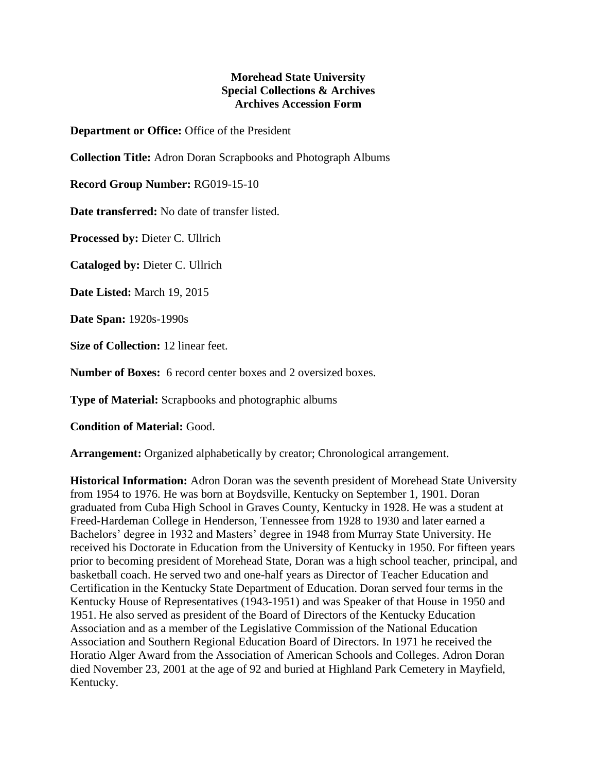## **Morehead State University Special Collections & Archives Archives Accession Form**

**Department or Office:** Office of the President

**Collection Title:** Adron Doran Scrapbooks and Photograph Albums

**Record Group Number:** RG019-15-10

**Date transferred:** No date of transfer listed.

**Processed by:** Dieter C. Ullrich

**Cataloged by:** Dieter C. Ullrich

**Date Listed:** March 19, 2015

**Date Span:** 1920s-1990s

**Size of Collection:** 12 linear feet.

**Number of Boxes:** 6 record center boxes and 2 oversized boxes.

**Type of Material:** Scrapbooks and photographic albums

**Condition of Material:** Good.

**Arrangement:** Organized alphabetically by creator; Chronological arrangement.

**Historical Information:** Adron Doran was the seventh president of Morehead State University from 1954 to 1976. He was born at Boydsville, Kentucky on September 1, 1901. Doran graduated from Cuba High School in Graves County, Kentucky in 1928. He was a student at Freed-Hardeman College in Henderson, Tennessee from 1928 to 1930 and later earned a Bachelors' degree in 1932 and Masters' degree in 1948 from Murray State University. He received his Doctorate in Education from the University of Kentucky in 1950. For fifteen years prior to becoming president of Morehead State, Doran was a high school teacher, principal, and basketball coach. He served two and one-half years as Director of Teacher Education and Certification in the Kentucky State Department of Education. Doran served four terms in the Kentucky House of Representatives (1943-1951) and was Speaker of that House in 1950 and 1951. He also served as president of the Board of Directors of the Kentucky Education Association and as a member of the Legislative Commission of the National Education Association and Southern Regional Education Board of Directors. In 1971 he received the Horatio Alger Award from the Association of American Schools and Colleges. Adron Doran died November 23, 2001 at the age of 92 and buried at Highland Park Cemetery in Mayfield, Kentucky.